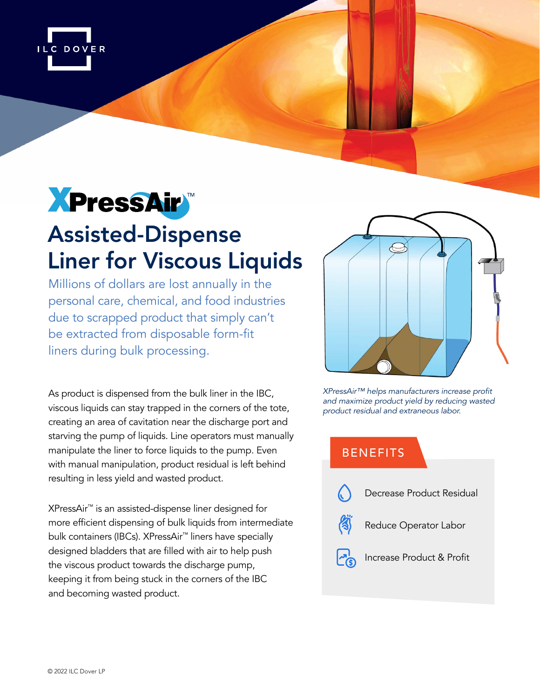

# **XPressAir**

## Assisted-Dispense Liner for Viscous Liquids

Millions of dollars are lost annually in the personal care, chemical, and food industries due to scrapped product that simply can't be extracted from disposable form-fit liners during bulk processing.

As product is dispensed from the bulk liner in the IBC, viscous liquids can stay trapped in the corners of the tote, creating an area of cavitation near the discharge port and starving the pump of liquids. Line operators must manually manipulate the liner to force liquids to the pump. Even with manual manipulation, product residual is left behind resulting in less yield and wasted product.

XPressAir™ is an assisted-dispense liner designed for more efficient dispensing of bulk liquids from intermediate bulk containers (IBCs). XPressAir™ liners have specially designed bladders that are filled with air to help push the viscous product towards the discharge pump, keeping it from being stuck in the corners of the IBC and becoming wasted product.



XPressAir™ helps manufacturers increase profit *and maximize product yield by reducing wasted product residual and extraneous labor.*

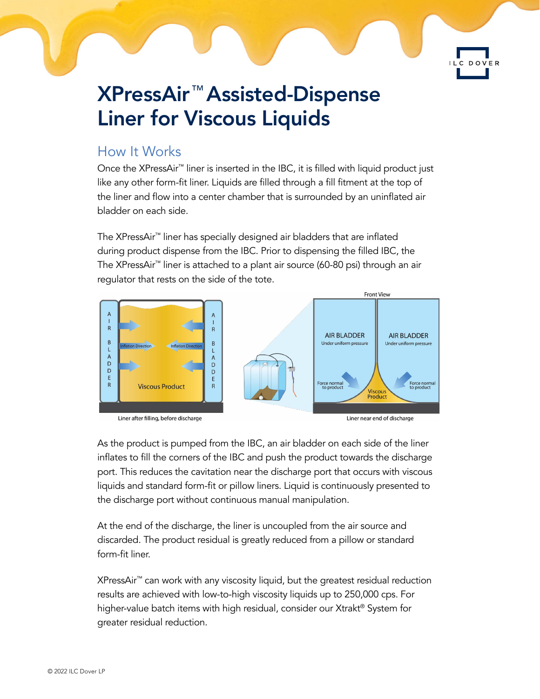### XPressAir™ Assisted-Dispense Liner for Viscous Liquids

#### How It Works

Once the XPressAir™ liner is inserted in the IBC, it is filled with liquid product just like any other form-fit liner. Liquids are filled through a fill fitment at the top of the liner and flow into a center chamber that is surrounded by an uninflated air bladder on each side.

The XPressAir™ liner has specially designed air bladders that are inflated during product dispense from the IBC. Prior to dispensing the filled IBC, the The XPressAir™ liner is attached to a plant air source (60-80 psi) through an air regulator that rests on the side of the tote.







DOVER

As the product is pumped from the IBC, an air bladder on each side of the liner inflates to fill the corners of the IBC and push the product towards the discharge port. This reduces the cavitation near the discharge port that occurs with viscous liquids and standard form-fit or pillow liners. Liquid is continuously presented to the discharge port without continuous manual manipulation.

At the end of the discharge, the liner is uncoupled from the air source and discarded. The product residual is greatly reduced from a pillow or standard form-fit liner.

XPressAir™ can work with any viscosity liquid, but the greatest residual reduction results are achieved with low-to-high viscosity liquids up to 250,000 cps. For higher-value batch items with high residual, consider our Xtrakt® System for greater residual reduction.